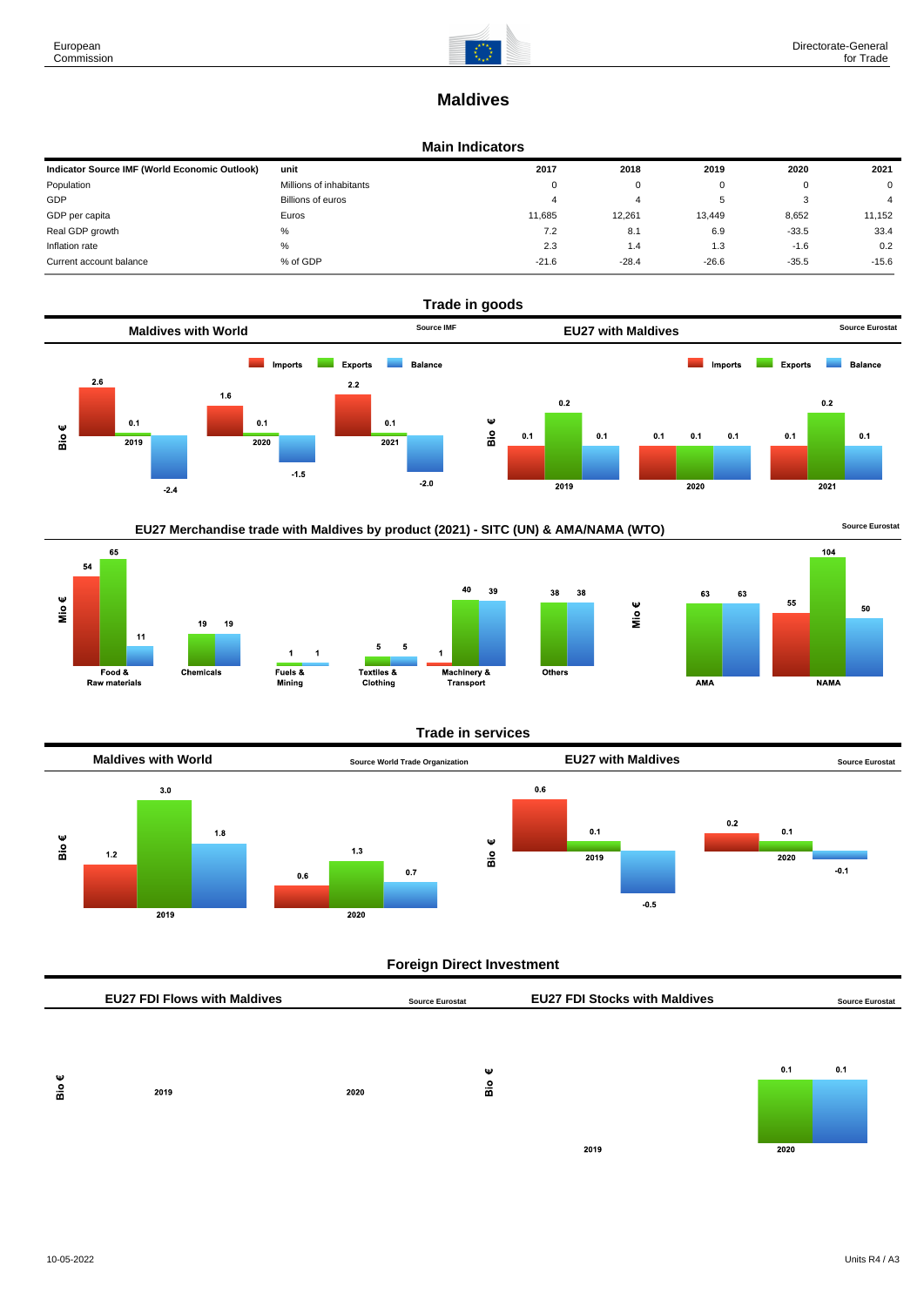65

Food &

Raw materials

 $\overline{11}$ 

54

Mio $\epsilon$ 



# **Maldives**

#### **Main Indicators**

| Indicator Source IMF (World Economic Outlook) | unit                    | 2017    | 2018    | 2019    | 2020    | 2021    |
|-----------------------------------------------|-------------------------|---------|---------|---------|---------|---------|
| Population                                    | Millions of inhabitants | 0       | 0       |         | O       | 0       |
| GDP                                           | Billions of euros       | 4       | 4       |         |         |         |
| GDP per capita                                | Euros                   | 11.685  | 12.261  | 13.449  | 8,652   | 11.152  |
| Real GDP growth                               | %                       | 7.2     | 8.1     | 6.9     | $-33.5$ | 33.4    |
| Inflation rate                                | %                       | 2.3     | 1.4     | 1.3     | $-1.6$  | 0.2     |
| Current account balance                       | % of GDP                | $-21.6$ | $-28.4$ | $-26.6$ | $-35.5$ | $-15.6$ |











## **Trade in services**



## **Foreign Direct Investment**

|   | <b>EU27 FDI Flows with Maldives</b> |      | <b>Source Eurostat</b> | <b>EU27 FDI Stocks with Maldives</b> |      | <b>Source Eurostat</b> |
|---|-------------------------------------|------|------------------------|--------------------------------------|------|------------------------|
|   |                                     |      |                        |                                      |      |                        |
| Ψ |                                     |      | Ψ                      |                                      | 0.1  | 0.1                    |
| å | 2019                                | 2020 | Вiо                    |                                      |      |                        |
|   |                                     |      |                        |                                      |      |                        |
|   |                                     |      |                        | 2019                                 | 2020 |                        |